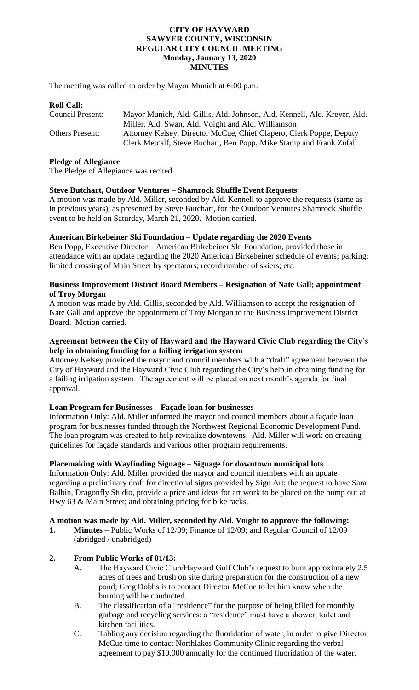#### **CITY OF HAYWARD SAWYER COUNTY, WISCONSIN REGULAR CITY COUNCIL MEETING Monday, January 13, 2020 MINUTES**

The meeting was called to order by Mayor Munich at 6:00 p.m.

#### **Roll Call:**

| Council Present:       | Mayor Munich, Ald. Gillis, Ald. Johnson, Ald. Kennell, Ald. Kreyer, Ald. |
|------------------------|--------------------------------------------------------------------------|
|                        | Miller, Ald. Swan, Ald. Voight and Ald. Williamson                       |
| <b>Others Present:</b> | Attorney Kelsey, Director McCue, Chief Clapero, Clerk Poppe, Deputy      |
|                        | Clerk Metcalf, Steve Buchart, Ben Popp, Mike Stamp and Frank Zufall      |

#### **Pledge of Allegiance**

The Pledge of Allegiance was recited.

### **Steve Butchart, Outdoor Ventures – Shamrock Shuffle Event Requests**

A motion was made by Ald. Miller, seconded by Ald. Kennell to approve the requests (same as in previous years), as presented by Steve Butchart, for the Outdoor Ventures Shamrock Shuffle event to be held on Saturday, March 21, 2020. Motion carried.

### **American Birkebeiner Ski Foundation – Update regarding the 2020 Events**

Ben Popp, Executive Director – American Birkebeiner Ski Foundation, provided those in attendance with an update regarding the 2020 American Birkebeiner schedule of events; parking; limited crossing of Main Street by spectators; record number of skiers; etc.

### **Business Improvement District Board Members – Resignation of Nate Gall; appointment of Troy Morgan**

A motion was made by Ald. Gillis, seconded by Ald. Williamson to accept the resignation of Nate Gall and approve the appointment of Troy Morgan to the Business Improvement District Board. Motion carried.

### **Agreement between the City of Hayward and the Hayward Civic Club regarding the City's help in obtaining funding for a failing irrigation system**

Attorney Kelsey provided the mayor and council members with a "draft" agreement between the City of Hayward and the Hayward Civic Club regarding the City's help in obtaining funding for a failing irrigation system. The agreement will be placed on next month's agenda for final approval.

### **Loan Program for Businesses – Façade loan for businesses**

Information Only: Ald. Miller informed the mayor and council members about a façade loan program for businesses funded through the Northwest Regional Economic Development Fund. The loan program was created to help revitalize downtowns. Ald. Miller will work on creating guidelines for façade standards and various other program requirements.

### **Placemaking with Wayfinding Signage – Signage for downtown municipal lots**

Information Only: Ald. Miller provided the mayor and council members with an update regarding a preliminary draft for directional signs provided by Sign Art; the request to have Sara Balbin, Dragonfly Studio, provide a price and ideas for art work to be placed on the bump out at Hwy 63 & Main Street; and obtaining pricing for bike racks.

#### **A motion was made by Ald. Miller, seconded by Ald. Voight to approve the following:**

**1. Minutes** – Public Works of 12/09; Finance of 12/09; and Regular Council of 12/09 (abridged / unabridged)

### **2. From Public Works of 01/13:**

- A. The Hayward Civic Club/Hayward Golf Club's request to burn approximately 2.5 acres of trees and brush on site during preparation for the construction of a new pond; Greg Dobbs is to contact Director McCue to let him know when the burning will be conducted.
- B. The classification of a "residence" for the purpose of being billed for monthly garbage and recycling services: a "residence" must have a shower, toilet and kitchen facilities.
- C. Tabling any decision regarding the fluoridation of water, in order to give Director McCue time to contact Northlakes Community Clinic regarding the verbal agreement to pay \$10,000 annually for the continued fluoridation of the water.